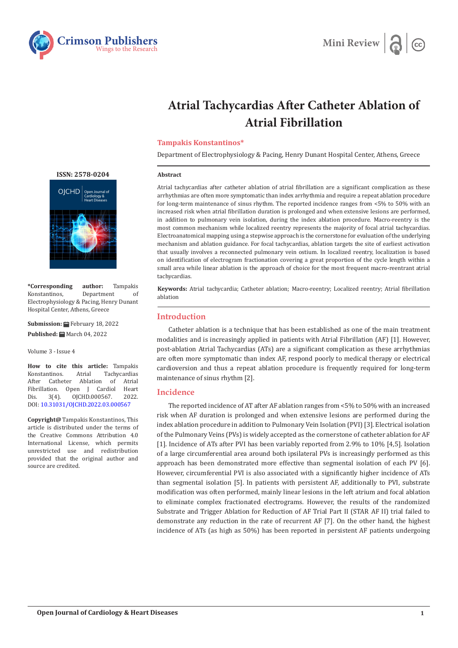



# **Atrial Tachycardias After Catheter Ablation of Atrial Fibrillation**

#### **Tampakis Konstantinos\***

Department of Electrophysiology & Pacing, Henry Dunant Hospital Center, Athens, Greece

#### **Abstract**

Atrial tachycardias after catheter ablation of atrial fibrillation are a significant complication as these arrhythmias are often more symptomatic than index arrhythmia and require a repeat ablation procedure for long-term maintenance of sinus rhythm. The reported incidence ranges from <5% to 50% with an increased risk when atrial fibrillation duration is prolonged and when extensive lesions are performed, in addition to pulmonary vein isolation, during the index ablation procedure. Macro-reentry is the most common mechanism while localized reentry represents the majority of focal atrial tachycardias. Electroanatomical mapping using a stepwise approach is the cornerstone for evaluation of the underlying mechanism and ablation guidance. For focal tachycardias, ablation targets the site of earliest activation that usually involves a reconnected pulmonary vein ostium. In localized reentry, localization is based on identification of electrogram fractionation covering a great proportion of the cycle length within a small area while linear ablation is the approach of choice for the most frequent macro-reentrant atrial tachycardias.

**Keywords:** Atrial tachycardia; Catheter ablation; Macro-reentry; Localized reentry; Atrial fibrillation ablation

## **Introduction**

Catheter ablation is a technique that has been established as one of the main treatment modalities and is increasingly applied in patients with Atrial Fibrillation (AF) [1]. However, post-ablation Atrial Tachycardias (ATs) are a significant complication as these arrhythmias are often more symptomatic than index AF, respond poorly to medical therapy or electrical cardioversion and thus a repeat ablation procedure is frequently required for long-term maintenance of sinus rhythm [2].

### **Incidence**

The reported incidence of AT after AF ablation ranges from <5% to 50% with an increased risk when AF duration is prolonged and when extensive lesions are performed during the index ablation procedure in addition to Pulmonary Vein Isolation (PVI) [3]. Electrical isolation of the Pulmonary Veins (PVs) is widely accepted as the cornerstone of catheter ablation for AF [1]. Incidence of ATs after PVI has been variably reported from 2.9% to 10% [4,5]. Isolation of a large circumferential area around both ipsilateral PVs is increasingly performed as this approach has been demonstrated more effective than segmental isolation of each PV [6]. However, circumferential PVI is also associated with a significantly higher incidence of ATs than segmental isolation [5]. In patients with persistent AF, additionally to PVI, substrate modification was often performed, mainly linear lesions in the left atrium and focal ablation to eliminate complex fractionated electrograms. However, the results of the randomized Substrate and Trigger Ablation for Reduction of AF Trial Part II (STAR AF II) trial failed to demonstrate any reduction in the rate of recurrent AF [7]. On the other hand, the highest incidence of ATs (as high as 50%) has been reported in persistent AF patients undergoing

**[ISSN: 2578-0204](https://crimsonpublishers.com/ojchd)**



**\*Corresponding author:** Tampakis Konstantinos, Department of Electrophysiology & Pacing, Henry Dunant Hospital Center, Athens, Greece

**Submission:** February 18, 2022 **Published: ■March 04, 2022** 

Volume 3 - Issue 4

**How to cite this article:** Tampakis<br> **Konstantinos.** Atrial Tachycardias Konstantinos. Atrial Tachycardias<br>After Catheter Ablation of Atrial After Catheter Ablation of Atrial<br>Fibrillation. Open J Cardiol Heart Fibrillation. Open J Cardiol Heart<br>Dis. 3(4). OJCHD.000567. 2022. OJCHD.000567. DOI: [10.31031/OJCHD.2022.03.000567](http://dx.doi.org/10.31031/OJCHD.2022.03.000567)

**Copyright@** Tampakis Konstantinos, This article is distributed under the terms of the Creative Commons Attribution 4.0 International License, which permits unrestricted use and redistribution provided that the original author and source are credited.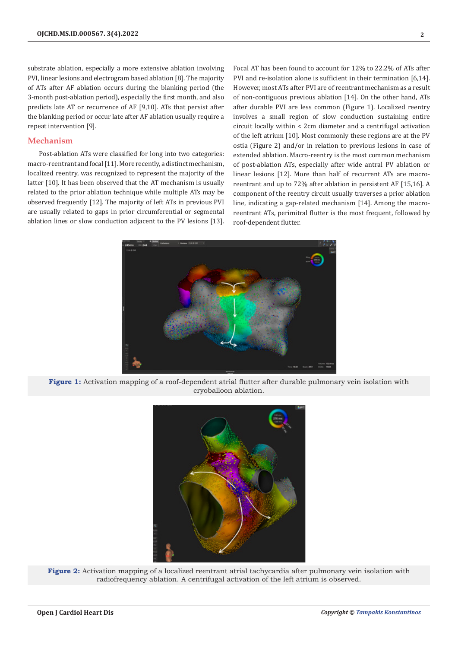substrate ablation, especially a more extensive ablation involving PVI, linear lesions and electrogram based ablation [8]. The majority of ATs after AF ablation occurs during the blanking period (the 3-month post-ablation period), especially the first month, and also predicts late AT or recurrence of AF [9,10]. ATs that persist after the blanking period or occur late after AF ablation usually require a repeat intervention [9].

#### **Mechanism**

Post-ablation ATs were classified for long into two categories: macro-reentrant and focal [11]. More recently, a distinct mechanism, localized reentry, was recognized to represent the majority of the latter [10]. It has been observed that the AT mechanism is usually related to the prior ablation technique while multiple ATs may be observed frequently [12]. The majority of left ATs in previous PVI are usually related to gaps in prior circumferential or segmental ablation lines or slow conduction adjacent to the PV lesions [13].

Focal AT has been found to account for 12% to 22.2% of ATs after PVI and re-isolation alone is sufficient in their termination [6,14]. However, most ATs after PVI are of reentrant mechanism as a result of non-contiguous previous ablation [14]. On the other hand, ATs after durable PVI are less common (Figure 1). Localized reentry involves a small region of slow conduction sustaining entire circuit locally within < 2cm diameter and a centrifugal activation of the left atrium [10]. Most commonly these regions are at the PV ostia (Figure 2) and/or in relation to previous lesions in case of extended ablation. Macro-reentry is the most common mechanism of post-ablation ATs, especially after wide antral PV ablation or linear lesions [12]. More than half of recurrent ATs are macroreentrant and up to 72% after ablation in persistent AF [15,16]. A component of the reentry circuit usually traverses a prior ablation line, indicating a gap-related mechanism [14]. Among the macroreentrant ATs, perimitral flutter is the most frequent, followed by roof-dependent flutter.



**Figure 1:** Activation mapping of a roof-dependent atrial flutter after durable pulmonary vein isolation with cryoballoon ablation.



**Figure 2:** Activation mapping of a localized reentrant atrial tachycardia after pulmonary vein isolation with radiofrequency ablation. A centrifugal activation of the left atrium is observed.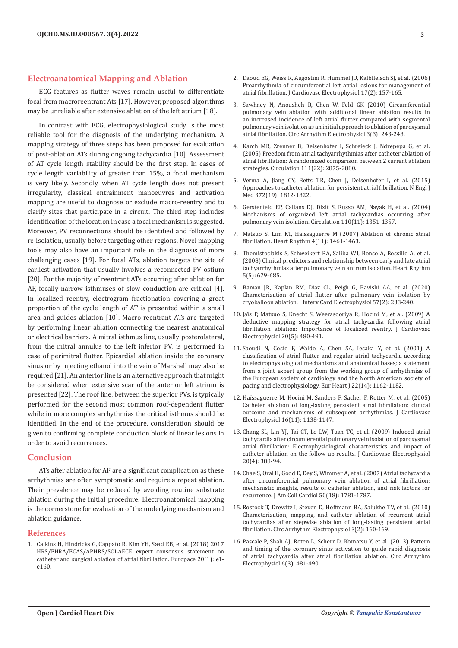## **Electroanatomical Mapping and Ablation**

ECG features as flutter waves remain useful to differentiate focal from macroreentrant Ats [17]. However, proposed algorithms may be unreliable after extensive ablation of the left atrium [18].

In contrast with ECG, electrophysiological study is the most reliable tool for the diagnosis of the underlying mechanism. A mapping strategy of three steps has been proposed for evaluation of post-ablation ATs during ongoing tachycardia [10]. Assessment of AT cycle length stability should be the first step. In cases of cycle length variability of greater than 15%, a focal mechanism is very likely. Secondly, when AT cycle length does not present irregularity, classical entrainment manoeuvres and activation mapping are useful to diagnose or exclude macro-reentry and to clarify sites that participate in a circuit. The third step includes identification of the location in case a focal mechanism is suggested. Moreover, PV reconnections should be identified and followed by re-isolation, usually before targeting other regions. Novel mapping tools may also have an important role in the diagnosis of more challenging cases [19]. For focal ATs, ablation targets the site of earliest activation that usually involves a reconnected PV ostium [20]. For the majority of reentrant ATs occurring after ablation for AF, focally narrow isthmuses of slow conduction are critical [4]. In localized reentry, electrogram fractionation covering a great proportion of the cycle length of AT is presented within a small area and guides ablation [10]. Macro-reentrant ATs are targeted by performing linear ablation connecting the nearest anatomical or electrical barriers. A mitral isthmus line, usually posterolateral, from the mitral annulus to the left inferior PV, is performed in case of perimitral flutter. Epicardial ablation inside the coronary sinus or by injecting ethanol into the vein of Marshall may also be required [21]. An anterior line is an alternative approach that might be considered when extensive scar of the anterior left atrium is presented [22]. The roof line, between the superior PVs, is typically performed for the second most common roof-dependent flutter while in more complex arrhythmias the critical isthmus should be identified. In the end of the procedure, consideration should be given to confirming complete conduction block of linear lesions in order to avoid recurrences.

#### **Conclusion**

ATs after ablation for AF are a significant complication as these arrhythmias are often symptomatic and require a repeat ablation. Their prevalence may be reduced by avoiding routine substrate ablation during the initial procedure. Electroanatomical mapping is the cornerstone for evaluation of the underlying mechanism and ablation guidance.

#### **References**

1. [Calkins H, Hindricks G, Cappato R, Kim YH, Saad EB, et al. \(2018\) 2017](https://pubmed.ncbi.nlm.nih.gov/29016840/)  [HRS/EHRA/ECAS/APHRS/SOLAECE expert consensus statement on](https://pubmed.ncbi.nlm.nih.gov/29016840/)  [catheter and surgical ablation of atrial fibrillation. Europace 20\(1\): e1](https://pubmed.ncbi.nlm.nih.gov/29016840/) [e160.](https://pubmed.ncbi.nlm.nih.gov/29016840/)

- 2. [Daoud EG, Weiss R, Augostini R, Hummel JD, Kalbfleisch SJ, et al. \(2006\)](https://pubmed.ncbi.nlm.nih.gov/16533253/) [Proarrhythmia of circumferential left atrial lesions for management of](https://pubmed.ncbi.nlm.nih.gov/16533253/) [atrial fibrillation. J Cardiovasc Electrophysiol 17\(2\): 157-165.](https://pubmed.ncbi.nlm.nih.gov/16533253/)
- 3. [Sawhney N, Anousheh R, Chen W, Feld GK \(2010\) Circumferential](https://pubmed.ncbi.nlm.nih.gov/20339034/) [pulmonary vein ablation with additional linear ablation results in](https://pubmed.ncbi.nlm.nih.gov/20339034/) [an increased incidence of left atrial flutter compared with segmental](https://pubmed.ncbi.nlm.nih.gov/20339034/) [pulmonary vein isolation as an initial approach to ablation of paroxysmal](https://pubmed.ncbi.nlm.nih.gov/20339034/) [atrial fibrillation. Circ Arrhythm Electrophysiol 3\(3\): 243-248.](https://pubmed.ncbi.nlm.nih.gov/20339034/)
- 4. [Karch MR, Zrenner B, Deisenhofer I, Schreieck J, Ndrepepa G, et al.](https://pubmed.ncbi.nlm.nih.gov/15927974/) [\(2005\) Freedom from atrial tachyarrhythmias after catheter ablation of](https://pubmed.ncbi.nlm.nih.gov/15927974/) [atrial fibrillation: A randomized comparison between 2 current ablation](https://pubmed.ncbi.nlm.nih.gov/15927974/) [strategies. Circulation 111\(22\): 2875-2880.](https://pubmed.ncbi.nlm.nih.gov/15927974/)
- 5. [Verma A, Jiang CY, Betts TR, Chen J, Deisenhofer I, et al. \(2015\)](https://pubmed.ncbi.nlm.nih.gov/25946280/) [Approaches to catheter ablation for persistent atrial fibrillation. N Engl J](https://pubmed.ncbi.nlm.nih.gov/25946280/) [Med 372\(19\): 1812-1822.](https://pubmed.ncbi.nlm.nih.gov/25946280/)
- 6. [Gerstenfeld EP, Callans DJ, Dixit S, Russo AM, Nayak H, et al. \(2004\)](https://pubmed.ncbi.nlm.nih.gov/15353501/) [Mechanisms of organized left atrial tachycardias occurring after](https://pubmed.ncbi.nlm.nih.gov/15353501/) [pulmonary vein isolation. Circulation 110\(11\): 1351-1357.](https://pubmed.ncbi.nlm.nih.gov/15353501/)
- 7. [Matsuo S, Lim KT, Haissaguerre M \(2007\) Ablation of chronic atrial](https://pubmed.ncbi.nlm.nih.gov/17954407/) [fibrillation. Heart Rhythm 4\(11\): 1461-1463.](https://pubmed.ncbi.nlm.nih.gov/17954407/)
- 8. [Themistoclakis S, Schweikert RA, Saliba WI, Bonso A, Rossillo A, et al.](https://pubmed.ncbi.nlm.nih.gov/18325850/) [\(2008\) Clinical predictors and relationship between early and late atrial](https://pubmed.ncbi.nlm.nih.gov/18325850/) [tachyarrhythmias after pulmonary vein antrum isolation. Heart Rhythm](https://pubmed.ncbi.nlm.nih.gov/18325850/) [5\(5\): 679-685.](https://pubmed.ncbi.nlm.nih.gov/18325850/)
- 9. [Baman JR, Kaplan RM, Diaz CL, Peigh G, Bavishi AA, et al. \(2020\)](https://pubmed.ncbi.nlm.nih.gov/31102114/) [Characterization of atrial flutter after pulmonary vein isolation by](https://pubmed.ncbi.nlm.nih.gov/31102114/) [cryoballoon ablation. J Interv Card Electrophysiol 57\(2\): 233-240.](https://pubmed.ncbi.nlm.nih.gov/31102114/)
- 10. [Jaïs P, Matsuo S, Knecht S, Weerasooriya R, Hocini M, et al. \(2009\) A](https://pubmed.ncbi.nlm.nih.gov/19207747/) [deductive mapping strategy for atrial tachycardia following atrial](https://pubmed.ncbi.nlm.nih.gov/19207747/) [fibrillation ablation: Importance of localized reentry. J Cardiovasc](https://pubmed.ncbi.nlm.nih.gov/19207747/) [Electrophysiol 20\(5\): 480-491.](https://pubmed.ncbi.nlm.nih.gov/19207747/)
- 11. Saoudi N, [Cosío F, Waldo A, Chen SA, Iesaka Y, et al. \(2001\) A](https://pubmed.ncbi.nlm.nih.gov/11440490/) [classification of atrial flutter and regular atrial tachycardia according](https://pubmed.ncbi.nlm.nih.gov/11440490/) [to electrophysiological mechanisms and anatomical bases; a statement](https://pubmed.ncbi.nlm.nih.gov/11440490/) [from a joint expert group from the working group of arrhythmias of](https://pubmed.ncbi.nlm.nih.gov/11440490/) [the European society of cardiology and the North American society of](https://pubmed.ncbi.nlm.nih.gov/11440490/) [pacing and electrophysiology. Eur Heart J 22\(14\): 1162-1182.](https://pubmed.ncbi.nlm.nih.gov/11440490/)
- 12. [Haïssaguerre M, Hocini M, Sanders P, Sacher F, Rotter M, et al. \(2005\)](https://pubmed.ncbi.nlm.nih.gov/16302893/) [Catheter ablation of long-lasting persistent atrial fibrillation: clinical](https://pubmed.ncbi.nlm.nih.gov/16302893/) [outcome and mechanisms of subsequent arrhythmias. J Cardiovasc](https://pubmed.ncbi.nlm.nih.gov/16302893/) [Electrophysiol 16\(11\): 1138-1147.](https://pubmed.ncbi.nlm.nih.gov/16302893/)
- 13. [Chang SL, Lin YJ, Tai CT, Lo LW, Tuan TC, et al. \(2009\) Induced atrial](https://pubmed.ncbi.nlm.nih.gov/19017332/) [tachycardia after circumferential pulmonary vein isolation of paroxysmal](https://pubmed.ncbi.nlm.nih.gov/19017332/) [atrial fibrillation: Electrophysiological characteristics and impact of](https://pubmed.ncbi.nlm.nih.gov/19017332/) [catheter ablation on the follow-up results. J Cardiovasc Electrophysiol](https://pubmed.ncbi.nlm.nih.gov/19017332/) [20\(4\): 388-94.](https://pubmed.ncbi.nlm.nih.gov/19017332/)
- 14. [Chae S, Oral H, Good E, Dey S, Wimmer A, et al. \(2007\) Atrial tachycardia](https://pubmed.ncbi.nlm.nih.gov/17964043/) [after circumferential pulmonary vein ablation of atrial fibrillation:](https://pubmed.ncbi.nlm.nih.gov/17964043/) [mechanistic insights, results of catheter ablation, and risk factors for](https://pubmed.ncbi.nlm.nih.gov/17964043/) [recurrence. J Am Coll Cardiol 50\(18\): 1781-1787.](https://pubmed.ncbi.nlm.nih.gov/17964043/)
- 15. [Rostock T, Drewitz I, Steven D, Hoffmann BA, Salukhe TV, et al. \(2010\)](https://pubmed.ncbi.nlm.nih.gov/20133933/) [Characterization, mapping, and catheter ablation of recurrent atrial](https://pubmed.ncbi.nlm.nih.gov/20133933/) [tachycardias after stepwise ablation of long-lasting persistent atrial](https://pubmed.ncbi.nlm.nih.gov/20133933/) [fibrillation. Circ Arrhythm Electrophysiol 3\(2\): 160-169.](https://pubmed.ncbi.nlm.nih.gov/20133933/)
- 16. [Pascale P, Shah AJ, Roten L, Scherr D, Komatsu Y, et al. \(2013\) Pattern](https://pubmed.ncbi.nlm.nih.gov/23629735/) [and timing of the coronary sinus activation to guide rapid diagnosis](https://pubmed.ncbi.nlm.nih.gov/23629735/) [of atrial tachycardia after atrial fibrillation ablation. Circ Arrhythm](https://pubmed.ncbi.nlm.nih.gov/23629735/) [Electrophysiol 6\(3\): 481-490.](https://pubmed.ncbi.nlm.nih.gov/23629735/)